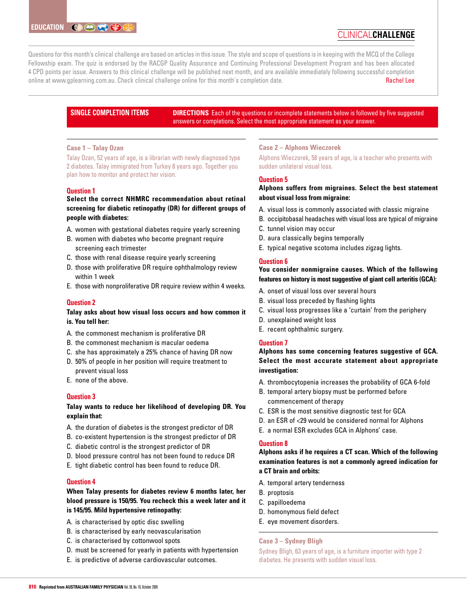# clinical**challenge**

Questions for this month's clinical challenge are based on articles in this issue. The style and scope of questions is in keeping with the MCQ of the College Fellowship exam. The quiz is endorsed by the RACGP Quality Assurance and Continuing Professional Development Program and has been allocated 4 CPD points per issue. Answers to this clinical challenge will be published next month, and are available immediately following successful completion online at www.gplearning.com.au. Check clinical challenge online for this month's completion date. Rachel Lee

# **SINGLE COMPLETION ITEMS**

**DIRECTIONS** Each of the questions or incomplete statements below is followed by five suggested answers or completions. Select the most appropriate statement as your answer.

# **Case 1 – Talay Ozan**

Talay Ozan, 52 years of age, is a librarian with newly diagnosed type 2 diabetes. Talay immigrated from Turkey 8 years ago. Together you plan how to monitor and protect her vision.

# **Question 1**

# **Select the correct NHMRC recommendation about retinal screening for diabetic retinopathy (DR) for different groups of people with diabetes:**

- A. women with gestational diabetes require yearly screening
- B. women with diabetes who become pregnant require screening each trimester
- C. those with renal disease require yearly screening
- D. those with proliferative DR require ophthalmology review within 1 week
- E. those with nonproliferative DR require review within 4 weeks.

## **Question 2**

# **Talay asks about how visual loss occurs and how common it is. You tell her:**

- A. the commonest mechanism is proliferative DR
- B. the commonest mechanism is macular oedema
- C. she has approximately a 25% chance of having DR now
- D. 50% of people in her position will require treatment to prevent visual loss
- E. none of the above.

## **Question 3**

# **Talay wants to reduce her likelihood of developing DR. You explain that:**

- A. the duration of diabetes is the strongest predictor of DR
- B. co-existent hypertension is the strongest predictor of DR
- C. diabetic control is the strongest predictor of DR
- D. blood pressure control has not been found to reduce DR
- E. tight diabetic control has been found to reduce DR.

## **Question 4**

# **When Talay presents for diabetes review 6 months later, her blood pressure is 150/95. You recheck this a week later and it is 145/95. Mild hypertensive retinopathy:**

- A. is characterised by optic disc swelling
- B. is characterised by early neovascularisation
- C. is characterised by cottonwool spots
- D. must be screened for yearly in patients with hypertension
- E. is predictive of adverse cardiovascular outcomes.

# **Case 2 – Alphons Wieczorek**

Alphons Wieczorek, 58 years of age, is a teacher who presents with sudden unilateral visual loss.

# **Question 5**

# **Alphons suffers from migraines. Select the best statement about visual loss from migraine:**

- A. visual loss is commonly associated with classic migraine
- B. occipitobasal headaches with visual loss are typical of migraine
- C. tunnel vision may occur
- D. aura classically begins temporally
- E. typical negative scotoma includes zigzag lights.

## **Question 6**

# **You consider nonmigraine causes. Which of the following features on history is most suggestive of giant cell arteritis (GCA):**

- A. onset of visual loss over several hours
- B. visual loss preceded by flashing lights
- C. visual loss progresses like a 'curtain' from the periphery
- D. unexplained weight loss
- E. recent ophthalmic surgery.

## **Question 7**

# **Alphons has some concerning features suggestive of GCA. Select the most accurate statement about appropriate investigation:**

- A. thrombocytopenia increases the probability of GCA 6-fold
- B. temporal artery biopsy must be performed before commencement of therapy
- C. ESR is the most sensitive diagnostic test for GCA
- D. an ESR of <29 would be considered normal for Alphons
- E. a normal ESR excludes GCA in Alphons' case.

## **Question 8**

**Alphons asks if he requires a CT scan. Which of the following examination features is not a commonly agreed indication for a CT brain and orbits:**

- A. temporal artery tenderness
- B. proptosis
- C. papilloedema
- D. homonymous field defect
- E. eye movement disorders.

## **Case 3 – Sydney Bligh**

Sydney Bligh, 63 years of age, is a furniture importer with type 2 diabetes. He presents with sudden visual loss.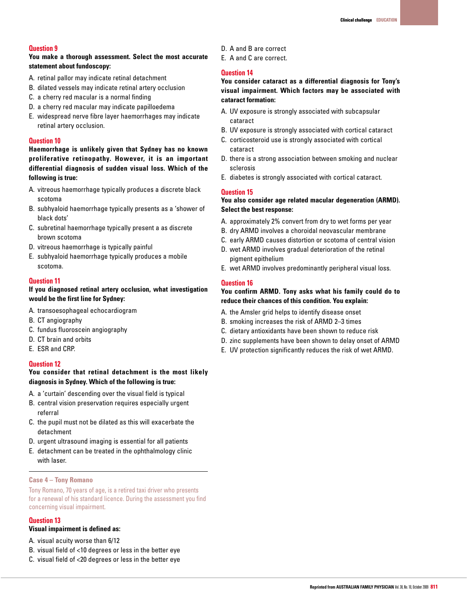### **Question 9**

**You make a thorough assessment. Select the most accurate statement about fundoscopy:**

- A. retinal pallor may indicate retinal detachment
- B. dilated vessels may indicate retinal artery occlusion
- C. a cherry red macular is a normal finding
- D. a cherry red macular may indicate papilloedema
- E. widespread nerve fibre layer haemorrhages may indicate retinal artery occlusion.

### **Question 10**

**Haemorrhage is unlikely given that Sydney has no known proliferative retinopathy. However, it is an important differential diagnosis of sudden visual loss. Which of the following is true:**

- A. vitreous haemorrhage typically produces a discrete black scotoma
- B. subhyaloid haemorrhage typically presents as a 'shower of black dots'
- C. subretinal haemorrhage typically present a as discrete brown scotoma
- D. vitreous haemorrhage is typically painful
- E. subhyaloid haemorrhage typically produces a mobile scotoma.

#### **Question 11**

# **If you diagnosed retinal artery occlusion, what investigation would be the first line for Sydney:**

- A. transoesophageal echocardiogram
- B. CT angiography
- C. fundus fluoroscein angiography
- D. CT brain and orbits
- E. ESR and CRP.

## **Question 12**

## **You consider that retinal detachment is the most likely diagnosis in Sydney. Which of the following is true:**

- A. a 'curtain' descending over the visual field is typical
- B. central vision preservation requires especially urgent referral
- C. the pupil must not be dilated as this will exacerbate the detachment
- D. urgent ultrasound imaging is essential for all patients
- E. detachment can be treated in the ophthalmology clinic with laser.

#### **Case 4 – Tony Romano**

Tony Romano, 70 years of age, is a retired taxi driver who presents for a renewal of his standard licence. During the assessment you find concerning visual impairment.

## **Question 13**

## **Visual impairment is defined as:**

- A. visual acuity worse than 6/12
- B. visual field of <10 degrees or less in the better eye
- C. visual field of <20 degrees or less in the better eye
- D. A and B are correct
- E. A and C are correct.

# **Question 14**

**You consider cataract as a differential diagnosis for Tony's visual impairment. Which factors may be associated with cataract formation:**

- A. UV exposure is strongly associated with subcapsular cataract
- B. UV exposure is strongly associated with cortical cataract
- C. corticosteroid use is strongly associated with cortical cataract
- D. there is a strong association between smoking and nuclear sclerosis
- E. diabetes is strongly associated with cortical cataract.

#### **Question 15**

# **You also consider age related macular degeneration (ARMD). Select the best response:**

- A. approximately 2% convert from dry to wet forms per year
- B. dry ARMD involves a choroidal neovascular membrane
- C. early ARMD causes distortion or scotoma of central vision
- D. wet ARMD involves gradual deterioration of the retinal pigment epithelium
- E. wet ARMD involves predominantly peripheral visual loss.

# **Question 16**

# **You confirm ARMD. Tony asks what his family could do to reduce their chances of this condition. You explain:**

- A. the Amsler grid helps to identify disease onset
- B. smoking increases the risk of ARMD 2–3 times
- C. dietary antioxidants have been shown to reduce risk
- D. zinc supplements have been shown to delay onset of ARMD
- E. UV protection significantly reduces the risk of wet ARMD.